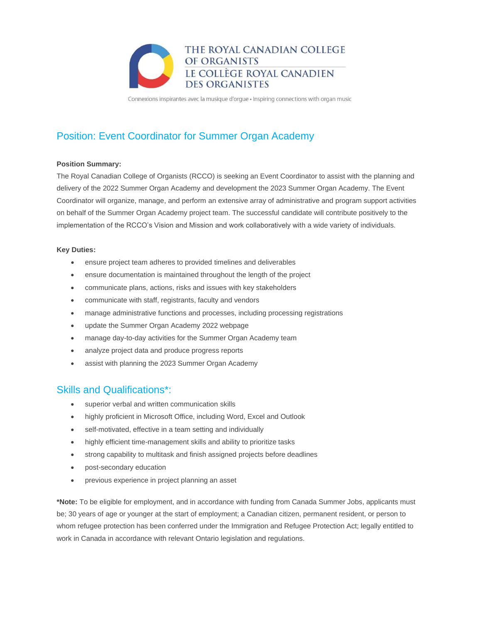

Connexions inspirantes avec la musique d'orgue · Inspiring connections with organ music

# Position: Event Coordinator for Summer Organ Academy

#### **Position Summary:**

The Royal Canadian College of Organists (RCCO) is seeking an Event Coordinator to assist with the planning and delivery of the 2022 Summer Organ Academy and development the 2023 Summer Organ Academy. The Event Coordinator will organize, manage, and perform an extensive array of administrative and program support activities on behalf of the Summer Organ Academy project team. The successful candidate will contribute positively to the implementation of the RCCO's Vision and Mission and work collaboratively with a wide variety of individuals.

#### **Key Duties:**

- ensure project team adheres to provided timelines and deliverables
- ensure documentation is maintained throughout the length of the project
- communicate plans, actions, risks and issues with key stakeholders
- communicate with staff, registrants, faculty and vendors
- manage administrative functions and processes, including processing registrations
- update the Summer Organ Academy 2022 webpage
- manage day-to-day activities for the Summer Organ Academy team
- analyze project data and produce progress reports
- assist with planning the 2023 Summer Organ Academy

### Skills and Qualifications\*:

- superior verbal and written communication skills
- highly proficient in Microsoft Office, including Word, Excel and Outlook
- self-motivated, effective in a team setting and individually
- highly efficient time-management skills and ability to prioritize tasks
- strong capability to multitask and finish assigned projects before deadlines
- post-secondary education
- previous experience in project planning an asset

**\*Note:** To be eligible for employment, and in accordance with funding from Canada Summer Jobs, applicants must be; 30 years of age or younger at the start of employment; a Canadian citizen, permanent resident, or person to whom refugee protection has been conferred under the Immigration and Refugee Protection Act; legally entitled to work in Canada in accordance with relevant Ontario legislation and regulations.